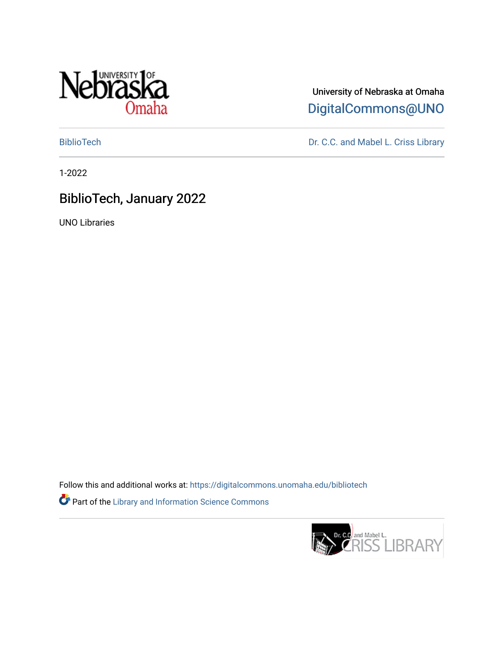

University of Nebraska at Omaha [DigitalCommons@UNO](https://digitalcommons.unomaha.edu/) 

[BiblioTech](https://digitalcommons.unomaha.edu/bibliotech) Dr. C.C. and Mabel L. Criss Library

1-2022

### BiblioTech, January 2022

UNO Libraries

Follow this and additional works at: [https://digitalcommons.unomaha.edu/bibliotech](https://digitalcommons.unomaha.edu/bibliotech?utm_source=digitalcommons.unomaha.edu%2Fbibliotech%2F19&utm_medium=PDF&utm_campaign=PDFCoverPages)  Part of the [Library and Information Science Commons](http://network.bepress.com/hgg/discipline/1018?utm_source=digitalcommons.unomaha.edu%2Fbibliotech%2F19&utm_medium=PDF&utm_campaign=PDFCoverPages) 

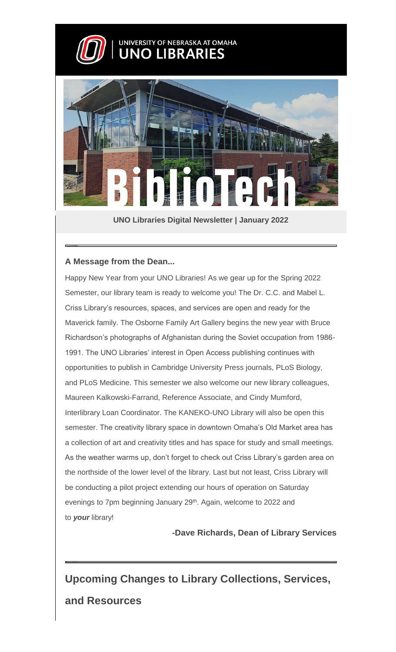

# UNIVERSITY OF NEBRASKA AT OMAHA



**UNO Libraries Digital Newsletter | January 2022**

### **A Message from the Dean...**

Happy New Year from your UNO Libraries! As we gear up for the Spring 2022 Semester, our library team is ready to welcome you! The Dr. C.C. and Mabel L. Criss Library's resources, spaces, and services are open and ready for the Maverick family. The Osborne Family Art Gallery begins the new year with Bruce Richardson's photographs of Afghanistan during the Soviet occupation from 1986- 1991. The UNO Libraries' interest in Open Access publishing continues with opportunities to publish in Cambridge University Press journals, PLoS Biology, and PLoS Medicine. This semester we also welcome our new library colleagues, Maureen Kalkowski-Farrand, Reference Associate, and Cindy Mumford, Interlibrary Loan Coordinator. The KANEKO-UNO Library will also be open this semester. The creativity library space in downtown Omaha's Old Market area has a collection of art and creativity titles and has space for study and small meetings. As the weather warms up, don't forget to check out Criss Library's garden area on the northside of the lower level of the library. Last but not least, Criss Library will be conducting a pilot project extending our hours of operation on Saturday evenings to 7pm beginning January 29<sup>th</sup>. Again, welcome to 2022 and to *your* library!

**-Dave Richards, Dean of Library Services**

**Upcoming Changes to Library Collections, Services, and Resources**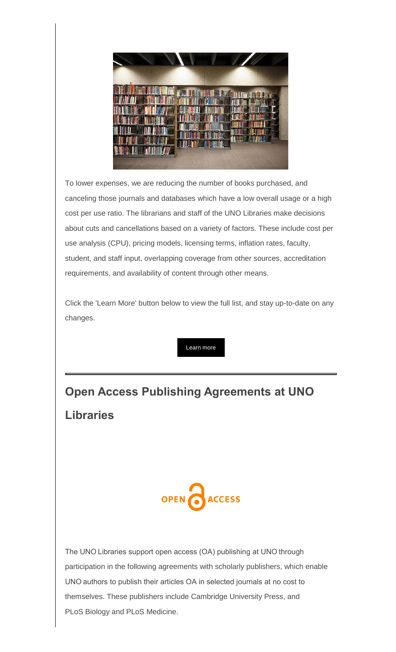

To lower expenses, we are reducing the number of books purchased, and canceling those journals and databases which have a low overall usage or a high cost per use ratio. The librarians and staff of the UNO Libraries make decisions about cuts and cancellations based on a variety of factors. These include cost per use analysis (CPU), pricing models, licensing terms, inflation rates, faculty, student, and staff input, overlapping coverage from other sources, accreditation requirements, and availability of content through other means.

Click the 'Learn More' button below to view the full list, and stay up-to-date on any changes.

[Learn more](https://web.unomaha.edu/e3t/Btc/2K+113/cCkYH04/VWlD3H1jFlHrW7g2rvM1nsRZ-W4xGMq_4Dx_jcN8hWs4J3lLBGV1-WJV7Cg_0YW6FRSSt1mQHbvW1vNNDJ3xd9W0VBv8Q93cYVKNW66Jkpv1GsZr-W9hRh7D9czfxLN69nzKgYQHXLW5xNzvf2XnCMdW5-9q2N63RvvfW2GghMk4wpC3zW1zqpnB5JLpCKW8_Xny93pyBp0W8z8rsB3LnK2yW5-XK-z1lxnDBW8xxNL_4txv-9W6txSfx6lnhsTW5HX3L41CtmVjW1QWcSh1ftmNcW1NJSSx5qkW3KW75Yvjn3W5WHrW7XYBsX81vWvyVK4dby92-mXLW1fYJQc5b88f5VB7c3s2cp8d4W1V8nGJ1tnwRD3cbG1) 

# **Open Access Publishing Agreements at UNO Libraries**



The UNO Libraries support open access (OA) publishing at UNO through participation in the following agreements with scholarly publishers, which enable UNO authors to publish their articles OA in selected journals at no cost to themselves. These publishers include Cambridge University Press, and PLoS Biology and PLoS Medicine.